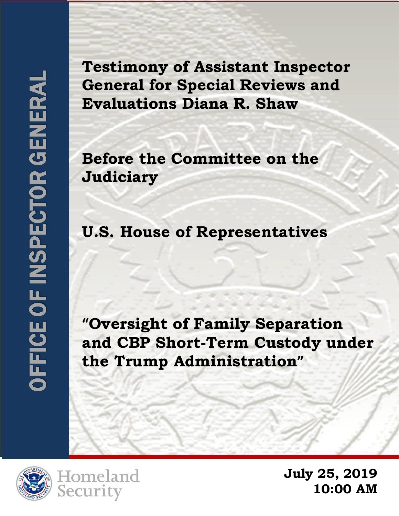**Testimony of Assistant Inspector General for Special Reviews and Evaluations Diana R. Shaw** 

**Before the Committee on the Judiciary** 

**U.S. House of Representatives**

**"Oversight of Family Separation and CBP Short-Term Custody under the Trump Administration"**





**July 25, 2019 10:00 AM**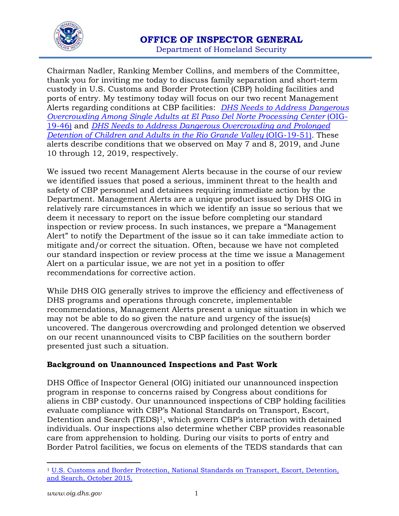

Chairman Nadler, Ranking Member Collins, and members of the Committee, thank you for inviting me today to discuss family separation and short-term custody in U.S. Customs and Border Protection (CBP) holding facilities and ports of entry. My testimony today will focus on our two recent Management Alerts regarding conditions at CBP facilities: *[DHS Needs to Address Dangerous](https://www.oig.dhs.gov/sites/default/files/assets/Mga/2019/oig-19-46-may19-mgmtalert.pdf)  [Overcrowding Among Single Adults at El Paso Del Norte Processing Center](https://www.oig.dhs.gov/sites/default/files/assets/Mga/2019/oig-19-46-may19-mgmtalert.pdf) (OIG-*[19-46\)](https://www.oig.dhs.gov/sites/default/files/assets/Mga/2019/oig-19-46-may19-mgmtalert.pdf) and *[DHS Needs to Address Dangerous Overcrowding and Prolonged](https://www.oig.dhs.gov/sites/default/files/assets/Mga/2019/oig-19-51-jul19.pdf)  [Detention of Children and Adults in the Rio Grande Valley](https://www.oig.dhs.gov/sites/default/files/assets/Mga/2019/oig-19-51-jul19.pdf) (OIG-19-51). These* alerts describe conditions that we observed on May 7 and 8, 2019, and June 10 through 12, 2019, respectively.

We issued two recent Management Alerts because in the course of our review we identified issues that posed a serious, imminent threat to the health and safety of CBP personnel and detainees requiring immediate action by the Department. Management Alerts are a unique product issued by DHS OIG in relatively rare circumstances in which we identify an issue so serious that we deem it necessary to report on the issue before completing our standard inspection or review process. In such instances, we prepare a "Management Alert" to notify the Department of the issue so it can take immediate action to mitigate and/or correct the situation. Often, because we have not completed our standard inspection or review process at the time we issue a Management Alert on a particular issue, we are not yet in a position to offer recommendations for corrective action.

While DHS OIG generally strives to improve the efficiency and effectiveness of DHS programs and operations through concrete, implementable recommendations, Management Alerts present a unique situation in which we may not be able to do so given the nature and urgency of the issue(s) uncovered. The dangerous overcrowding and prolonged detention we observed on our recent unannounced visits to CBP facilities on the southern border presented just such a situation.

# **Background on Unannounced Inspections and Past Work**

DHS Office of Inspector General (OIG) initiated our unannounced inspection program in response to concerns raised by Congress about conditions for aliens in CBP custody. Our unannounced inspections of CBP holding facilities evaluate compliance with CBP's National Standards on Transport, Escort, Detention and Search (TEDS)<sup>[1](#page-1-0)</sup>, which govern CBP's interaction with detained individuals. Our inspections also determine whether CBP provides reasonable care from apprehension to holding. During our visits to ports of entry and Border Patrol facilities, we focus on elements of the TEDS standards that can

 $\overline{a}$ 

<span id="page-1-0"></span><sup>1</sup> [U.S. Customs and Border Protection, National Standards on Transport, Escort, Detention,](https://www.cbp.gov/sites/default/files/assets/documents/2017-Sep/CBP%20TEDS%20Policy%20Oct2015.pdf)  [and Search, October 2015.](https://www.cbp.gov/sites/default/files/assets/documents/2017-Sep/CBP%20TEDS%20Policy%20Oct2015.pdf)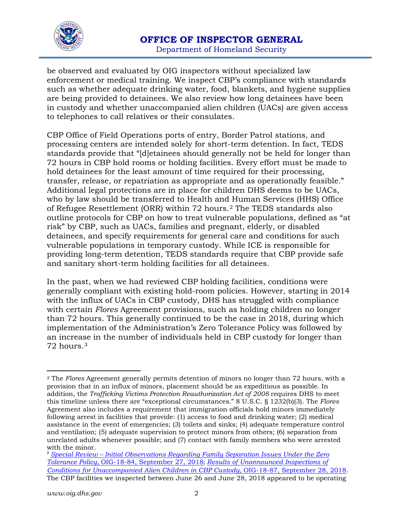

be observed and evaluated by OIG inspectors without specialized law enforcement or medical training. We inspect CBP's compliance with standards such as whether adequate drinking water, food, blankets, and hygiene supplies are being provided to detainees. We also review how long detainees have been in custody and whether unaccompanied alien children (UACs) are given access to telephones to call relatives or their consulates.

CBP Office of Field Operations ports of entry, Border Patrol stations, and processing centers are intended solely for short-term detention. In fact, TEDS standards provide that "[d]etainees should generally not be held for longer than 72 hours in CBP hold rooms or holding facilities. Every effort must be made to hold detainees for the least amount of time required for their processing, transfer, release, or repatriation as appropriate and as operationally feasible." Additional legal protections are in place for children DHS deems to be UACs, who by law should be transferred to Health and Human Services (HHS) Office of Refugee Resettlement (ORR) within 72 hours.[2](#page-2-0) The TEDS standards also outline protocols for CBP on how to treat vulnerable populations, defined as "at risk" by CBP, such as UACs, families and pregnant, elderly, or disabled detainees, and specify requirements for general care and conditions for such vulnerable populations in temporary custody. While ICE is responsible for providing long-term detention, TEDS standards require that CBP provide safe and sanitary short-term holding facilities for all detainees.

In the past, when we had reviewed CBP holding facilities, conditions were generally compliant with existing hold-room policies. However, starting in 2014 with the influx of UACs in CBP custody, DHS has struggled with compliance with certain *Flores* Agreement provisions, such as holding children no longer than 72 hours. This generally continued to be the case in 2018, during which implementation of the Administration's Zero Tolerance Policy was followed by an increase in the number of individuals held in CBP custody for longer than 72 hours.[3](#page-2-1)

<span id="page-2-0"></span> $\overline{a}$ <sup>2</sup> The *Flores* Agreement generally permits detention of minors no longer than 72 hours, with a provision that in an influx of minors, placement should be as expeditious as possible. In addition, the *Trafficking Victims Protection Reauthorization Act of 2008* requires DHS to meet this timeline unless there are "exceptional circumstances." 8 U.S.C. § 1232(b)(3). The *Flores* Agreement also includes a requirement that immigration officials hold minors immediately following arrest in facilities that provide: (1) access to food and drinking water; (2) medical assistance in the event of emergencies; (3) toilets and sinks; (4) adequate temperature control and ventilation; (5) adequate supervision to protect minors from others; (6) separation from unrelated adults whenever possible; and (7) contact with family members who were arrested with the minor.

<span id="page-2-1"></span><sup>3</sup> *Special Review – [Initial Observations Regarding Family Separation Issues Under the Zero](https://www.oig.dhs.gov/sites/default/files/assets/2018-10/OIG-18-84-Sep18.pdf)  Tolerance Policy,* [OIG-18-84, September 27, 2018](https://www.oig.dhs.gov/sites/default/files/assets/2018-10/OIG-18-84-Sep18.pdf); *[Results of Unannounced Inspections of](https://www.oig.dhs.gov/sites/default/files/assets/2018-10/OIG-18-87-Sep18.pdf)  [Conditions for Unaccompanied Alien Children in CBP Custody,](https://www.oig.dhs.gov/sites/default/files/assets/2018-10/OIG-18-87-Sep18.pdf)* OIG-18-87, September 28, 2018. The CBP facilities we inspected between June 26 and June 28, 2018 appeared to be operating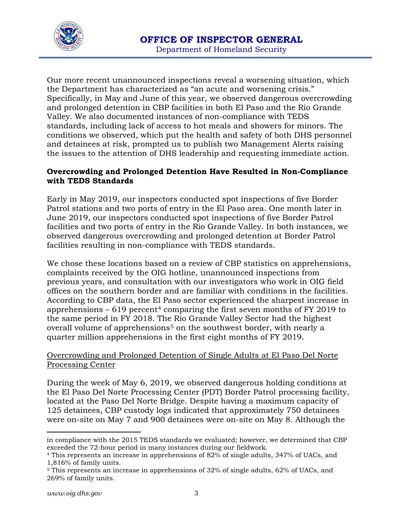

Our more recent unannounced inspections reveal a worsening situation, which the Department has characterized as "an acute and worsening crisis." Specifically, in May and June of this year, we observed dangerous overcrowding and prolonged detention in CBP facilities in both El Paso and the Rio Grande Valley. We also documented instances of non-compliance with TEDS standards, including lack of access to hot meals and showers for minors. The conditions we observed, which put the health and safety of both DHS personnel and detainees at risk, prompted us to publish two Management Alerts raising the issues to the attention of DHS leadership and requesting immediate action.

## **Overcrowding and Prolonged Detention Have Resulted in Non-Compliance with TEDS Standards**

Early in May 2019, our inspectors conducted spot inspections of five Border Patrol stations and two ports of entry in the El Paso area. One month later in June 2019, our inspectors conducted spot inspections of five Border Patrol facilities and two ports of entry in the Rio Grande Valley. In both instances, we observed dangerous overcrowding and prolonged detention at Border Patrol facilities resulting in non-compliance with TEDS standards.

We chose these locations based on a review of CBP statistics on apprehensions, complaints received by the OIG hotline, unannounced inspections from previous years, and consultation with our investigators who work in OIG field offices on the southern border and are familiar with conditions in the facilities. According to CBP data, the El Paso sector experienced the sharpest increase in apprehensions  $-619$  percent<sup>[4](#page-3-0)</sup> comparing the first seven months of FY 2019 to the same period in FY 2018. The Rio Grande Valley Sector had the highest overall volume of apprehensions<sup>[5](#page-3-1)</sup> on the southwest border, with nearly a quarter million apprehensions in the first eight months of FY 2019.

# Overcrowding and Prolonged Detention of Single Adults at El Paso Del Norte Processing Center

During the week of May 6, 2019, we observed dangerous holding conditions at the El Paso Del Norte Processing Center (PDT) Border Patrol processing facility, located at the Paso Del Norte Bridge. Despite having a maximum capacity of 125 detainees, CBP custody logs indicated that approximately 750 detainees were on-site on May 7 and 900 detainees were on-site on May 8. Although the

 $\overline{a}$ 

in compliance with the 2015 TEDS standards we evaluated; however, we determined that CBP exceeded the 72-hour period in many instances during our fieldwork.

<span id="page-3-0"></span><sup>4</sup> This represents an increase in apprehensions of 82% of single adults, 347% of UACs, and 1,816% of family units.

<span id="page-3-1"></span><sup>5</sup> This represents an increase in apprehensions of 32% of single adults, 62% of UACs, and 269% of family units.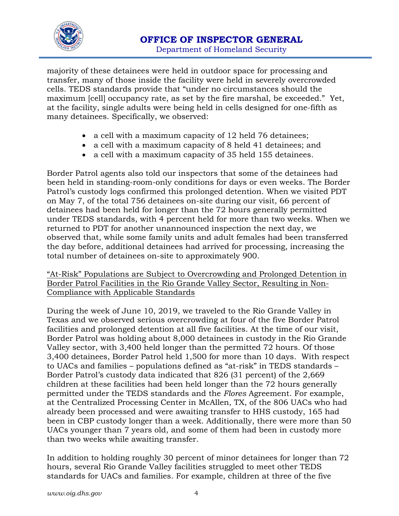

majority of these detainees were held in outdoor space for processing and transfer, many of those inside the facility were held in severely overcrowded cells. TEDS standards provide that "under no circumstances should the maximum [cell] occupancy rate, as set by the fire marshal, be exceeded." Yet, at the facility, single adults were being held in cells designed for one-fifth as many detainees. Specifically, we observed:

- a cell with a maximum capacity of 12 held 76 detainees;
- a cell with a maximum capacity of 8 held 41 detainees; and
- a cell with a maximum capacity of 35 held 155 detainees.

Border Patrol agents also told our inspectors that some of the detainees had been held in standing-room-only conditions for days or even weeks. The Border Patrol's custody logs confirmed this prolonged detention. When we visited PDT on May 7, of the total 756 detainees on-site during our visit, 66 percent of detainees had been held for longer than the 72 hours generally permitted under TEDS standards, with 4 percent held for more than two weeks. When we returned to PDT for another unannounced inspection the next day, we observed that, while some family units and adult females had been transferred the day before, additional detainees had arrived for processing, increasing the total number of detainees on-site to approximately 900.

"At-Risk" Populations are Subject to Overcrowding and Prolonged Detention in Border Patrol Facilities in the Rio Grande Valley Sector, Resulting in Non-Compliance with Applicable Standards

During the week of June 10, 2019, we traveled to the Rio Grande Valley in Texas and we observed serious overcrowding at four of the five Border Patrol facilities and prolonged detention at all five facilities. At the time of our visit, Border Patrol was holding about 8,000 detainees in custody in the Rio Grande Valley sector, with 3,400 held longer than the permitted 72 hours. Of those 3,400 detainees, Border Patrol held 1,500 for more than 10 days. With respect to UACs and families – populations defined as "at-risk" in TEDS standards – Border Patrol's custody data indicated that 826 (31 percent) of the 2,669 children at these facilities had been held longer than the 72 hours generally permitted under the TEDS standards and the *Flores* Agreement. For example, at the Centralized Processing Center in McAllen, TX, of the 806 UACs who had already been processed and were awaiting transfer to HHS custody, 165 had been in CBP custody longer than a week. Additionally, there were more than 50 UACs younger than 7 years old, and some of them had been in custody more than two weeks while awaiting transfer.

In addition to holding roughly 30 percent of minor detainees for longer than 72 hours, several Rio Grande Valley facilities struggled to meet other TEDS standards for UACs and families. For example, children at three of the five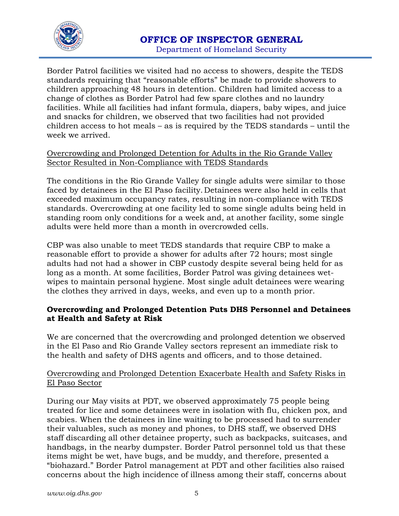

Border Patrol facilities we visited had no access to showers, despite the TEDS standards requiring that "reasonable efforts" be made to provide showers to children approaching 48 hours in detention. Children had limited access to a change of clothes as Border Patrol had few spare clothes and no laundry facilities. While all facilities had infant formula, diapers, baby wipes, and juice and snacks for children, we observed that two facilities had not provided children access to hot meals – as is required by the TEDS standards – until the week we arrived.

## Overcrowding and Prolonged Detention for Adults in the Rio Grande Valley Sector Resulted in Non-Compliance with TEDS Standards

The conditions in the Rio Grande Valley for single adults were similar to those faced by detainees in the El Paso facility. Detainees were also held in cells that exceeded maximum occupancy rates, resulting in non-compliance with TEDS standards. Overcrowding at one facility led to some single adults being held in standing room only conditions for a week and, at another facility, some single adults were held more than a month in overcrowded cells.

CBP was also unable to meet TEDS standards that require CBP to make a reasonable effort to provide a shower for adults after 72 hours; most single adults had not had a shower in CBP custody despite several being held for as long as a month. At some facilities, Border Patrol was giving detainees wetwipes to maintain personal hygiene. Most single adult detainees were wearing the clothes they arrived in days, weeks, and even up to a month prior.

#### **Overcrowding and Prolonged Detention Puts DHS Personnel and Detainees at Health and Safety at Risk**

We are concerned that the overcrowding and prolonged detention we observed in the El Paso and Rio Grande Valley sectors represent an immediate risk to the health and safety of DHS agents and officers, and to those detained.

#### Overcrowding and Prolonged Detention Exacerbate Health and Safety Risks in El Paso Sector

During our May visits at PDT, we observed approximately 75 people being treated for lice and some detainees were in isolation with flu, chicken pox, and scabies. When the detainees in line waiting to be processed had to surrender their valuables, such as money and phones, to DHS staff, we observed DHS staff discarding all other detainee property, such as backpacks, suitcases, and handbags, in the nearby dumpster. Border Patrol personnel told us that these items might be wet, have bugs, and be muddy, and therefore, presented a "biohazard." Border Patrol management at PDT and other facilities also raised concerns about the high incidence of illness among their staff, concerns about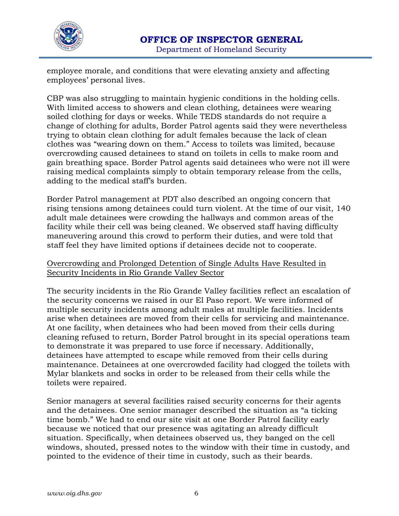

employee morale, and conditions that were elevating anxiety and affecting employees' personal lives.

CBP was also struggling to maintain hygienic conditions in the holding cells. With limited access to showers and clean clothing, detainees were wearing soiled clothing for days or weeks. While TEDS standards do not require a change of clothing for adults, Border Patrol agents said they were nevertheless trying to obtain clean clothing for adult females because the lack of clean clothes was "wearing down on them." Access to toilets was limited, because overcrowding caused detainees to stand on toilets in cells to make room and gain breathing space. Border Patrol agents said detainees who were not ill were raising medical complaints simply to obtain temporary release from the cells, adding to the medical staff's burden.

Border Patrol management at PDT also described an ongoing concern that rising tensions among detainees could turn violent. At the time of our visit, 140 adult male detainees were crowding the hallways and common areas of the facility while their cell was being cleaned. We observed staff having difficulty maneuvering around this crowd to perform their duties, and were told that staff feel they have limited options if detainees decide not to cooperate.

#### Overcrowding and Prolonged Detention of Single Adults Have Resulted in Security Incidents in Rio Grande Valley Sector

The security incidents in the Rio Grande Valley facilities reflect an escalation of the security concerns we raised in our El Paso report. We were informed of multiple security incidents among adult males at multiple facilities. Incidents arise when detainees are moved from their cells for servicing and maintenance. At one facility, when detainees who had been moved from their cells during cleaning refused to return, Border Patrol brought in its special operations team to demonstrate it was prepared to use force if necessary. Additionally, detainees have attempted to escape while removed from their cells during maintenance. Detainees at one overcrowded facility had clogged the toilets with Mylar blankets and socks in order to be released from their cells while the toilets were repaired.

Senior managers at several facilities raised security concerns for their agents and the detainees. One senior manager described the situation as "a ticking time bomb." We had to end our site visit at one Border Patrol facility early because we noticed that our presence was agitating an already difficult situation. Specifically, when detainees observed us, they banged on the cell windows, shouted, pressed notes to the window with their time in custody, and pointed to the evidence of their time in custody, such as their beards.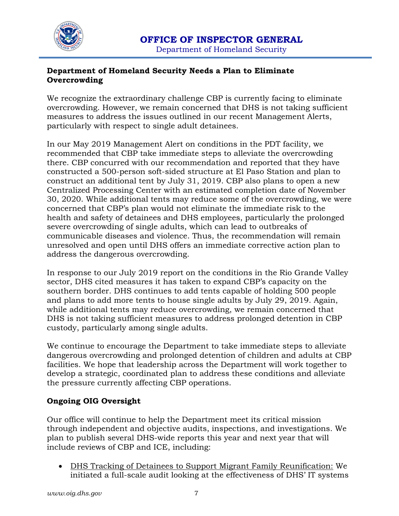

# **Department of Homeland Security Needs a Plan to Eliminate Overcrowding**

We recognize the extraordinary challenge CBP is currently facing to eliminate overcrowding. However, we remain concerned that DHS is not taking sufficient measures to address the issues outlined in our recent Management Alerts, particularly with respect to single adult detainees.

In our May 2019 Management Alert on conditions in the PDT facility, we recommended that CBP take immediate steps to alleviate the overcrowding there. CBP concurred with our recommendation and reported that they have constructed a 500-person soft-sided structure at El Paso Station and plan to construct an additional tent by July 31, 2019. CBP also plans to open a new Centralized Processing Center with an estimated completion date of November 30, 2020. While additional tents may reduce some of the overcrowding, we were concerned that CBP's plan would not eliminate the immediate risk to the health and safety of detainees and DHS employees, particularly the prolonged severe overcrowding of single adults, which can lead to outbreaks of communicable diseases and violence. Thus, the recommendation will remain unresolved and open until DHS offers an immediate corrective action plan to address the dangerous overcrowding.

In response to our July 2019 report on the conditions in the Rio Grande Valley sector, DHS cited measures it has taken to expand CBP's capacity on the southern border. DHS continues to add tents capable of holding 500 people and plans to add more tents to house single adults by July 29, 2019. Again, while additional tents may reduce overcrowding, we remain concerned that DHS is not taking sufficient measures to address prolonged detention in CBP custody, particularly among single adults.

We continue to encourage the Department to take immediate steps to alleviate dangerous overcrowding and prolonged detention of children and adults at CBP facilities. We hope that leadership across the Department will work together to develop a strategic, coordinated plan to address these conditions and alleviate the pressure currently affecting CBP operations.

# **Ongoing OIG Oversight**

Our office will continue to help the Department meet its critical mission through independent and objective audits, inspections, and investigations. We plan to publish several DHS-wide reports this year and next year that will include reviews of CBP and ICE, including:

• DHS Tracking of Detainees to Support Migrant Family Reunification: We initiated a full-scale audit looking at the effectiveness of DHS' IT systems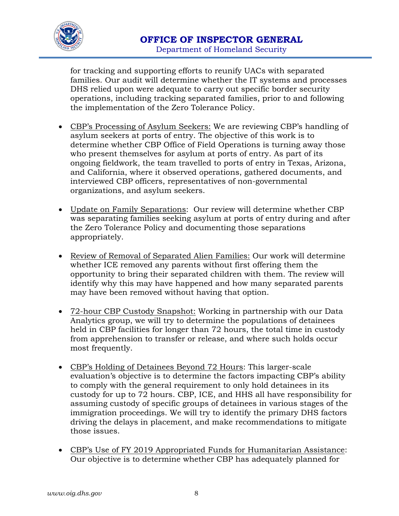

for tracking and supporting efforts to reunify UACs with separated families. Our audit will determine whether the IT systems and processes DHS relied upon were adequate to carry out specific border security operations, including tracking separated families, prior to and following the implementation of the Zero Tolerance Policy.

- CBP's Processing of Asylum Seekers: We are reviewing CBP's handling of asylum seekers at ports of entry. The objective of this work is to determine whether CBP Office of Field Operations is turning away those who present themselves for asylum at ports of entry. As part of its ongoing fieldwork, the team travelled to ports of entry in Texas, Arizona, and California, where it observed operations, gathered documents, and interviewed CBP officers, representatives of non-governmental organizations, and asylum seekers.
- Update on Family Separations: Our review will determine whether CBP was separating families seeking asylum at ports of entry during and after the Zero Tolerance Policy and documenting those separations appropriately.
- Review of Removal of Separated Alien Families: Our work will determine whether ICE removed any parents without first offering them the opportunity to bring their separated children with them. The review will identify why this may have happened and how many separated parents may have been removed without having that option.
- 72-hour CBP Custody Snapshot: Working in partnership with our Data Analytics group, we will try to determine the populations of detainees held in CBP facilities for longer than 72 hours, the total time in custody from apprehension to transfer or release, and where such holds occur most frequently.
- CBP's Holding of Detainees Beyond 72 Hours: This larger-scale evaluation's objective is to determine the factors impacting CBP's ability to comply with the general requirement to only hold detainees in its custody for up to 72 hours. CBP, ICE, and HHS all have responsibility for assuming custody of specific groups of detainees in various stages of the immigration proceedings. We will try to identify the primary DHS factors driving the delays in placement, and make recommendations to mitigate those issues.
- CBP's Use of FY 2019 Appropriated Funds for Humanitarian Assistance: Our objective is to determine whether CBP has adequately planned for